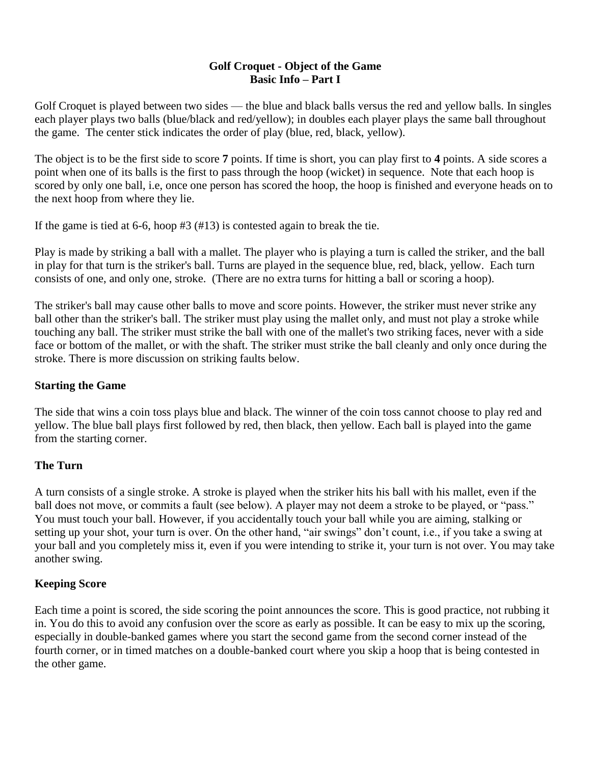## **Golf Croquet - Object of the Game Basic Info – Part I**

Golf Croquet is played between two sides — the blue and black balls versus the red and yellow balls. In singles each player plays two balls (blue/black and red/yellow); in doubles each player plays the same ball throughout the game. The center stick indicates the order of play (blue, red, black, yellow).

The object is to be the first side to score **7** points. If time is short, you can play first to **4** points. A side scores a point when one of its balls is the first to pass through the hoop (wicket) in sequence. Note that each hoop is scored by only one ball, i.e, once one person has scored the hoop, the hoop is finished and everyone heads on to the next hoop from where they lie.

If the game is tied at 6-6, hoop #3 (#13) is contested again to break the tie.

Play is made by striking a ball with a mallet. The player who is playing a turn is called the striker, and the ball in play for that turn is the striker's ball. Turns are played in the sequence blue, red, black, yellow. Each turn consists of one, and only one, stroke. (There are no extra turns for hitting a ball or scoring a hoop).

The striker's ball may cause other balls to move and score points. However, the striker must never strike any ball other than the striker's ball. The striker must play using the mallet only, and must not play a stroke while touching any ball. The striker must strike the ball with one of the mallet's two striking faces, never with a side face or bottom of the mallet, or with the shaft. The striker must strike the ball cleanly and only once during the stroke. There is more discussion on striking faults below.

## **Starting the Game**

The side that wins a coin toss plays blue and black. The winner of the coin toss cannot choose to play red and yellow. The blue ball plays first followed by red, then black, then yellow. Each ball is played into the game from the starting corner.

## **The Turn**

A turn consists of a single stroke. A stroke is played when the striker hits his ball with his mallet, even if the ball does not move, or commits a fault (see below). A player may not deem a stroke to be played, or "pass." You must touch your ball. However, if you accidentally touch your ball while you are aiming, stalking or setting up your shot, your turn is over. On the other hand, "air swings" don't count, i.e., if you take a swing at your ball and you completely miss it, even if you were intending to strike it, your turn is not over. You may take another swing.

## **Keeping Score**

Each time a point is scored, the side scoring the point announces the score. This is good practice, not rubbing it in. You do this to avoid any confusion over the score as early as possible. It can be easy to mix up the scoring, especially in double-banked games where you start the second game from the second corner instead of the fourth corner, or in timed matches on a double-banked court where you skip a hoop that is being contested in the other game.